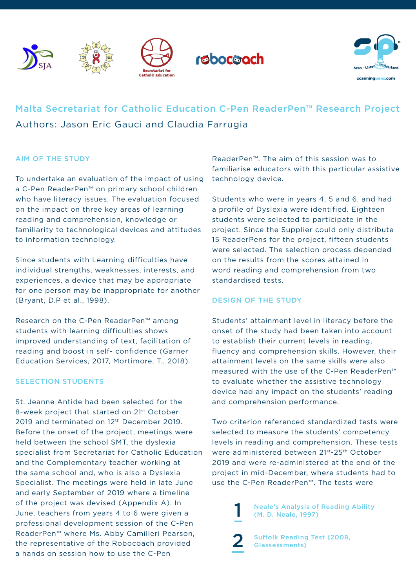









# Malta Secretariat for Catholic Education C-Pen ReaderPen™ Research Project Authors: Jason Eric Gauci and Claudia Farrugia

## AIM OF THE STUDY

To undertake an evaluation of the impact of using a C-Pen ReaderPen™ on primary school children who have literacy issues. The evaluation focused on the impact on three key areas of learning reading and comprehension, knowledge or familiarity to technological devices and attitudes to information technology.

Since students with Learning difficulties have individual strengths, weaknesses, interests, and experiences, a device that may be appropriate for one person may be inappropriate for another (Bryant, D.P et al., 1998).

Research on the C-Pen ReaderPen™ among students with learning difficulties shows improved understanding of text, facilitation of reading and boost in self- confidence (Garner Education Services, 2017, Mortimore, T., 2018).

## SELECTION STUDENTS

St. Jeanne Antide had been selected for the 8-week project that started on 21st October 2019 and terminated on 12<sup>th</sup> December 2019. Before the onset of the project, meetings were held between the school SMT, the dyslexia specialist from Secretariat for Catholic Education and the Complementary teacher working at the same school and, who is also a Dyslexia Specialist. The meetings were held in late June and early September of 2019 where a timeline of the project was devised (Appendix A). In June, teachers from years 4 to 6 were given a professional development session of the C-Pen ReaderPen™ where Ms. Abby Camilleri Pearson, the representative of the Robocoach provided a hands on session how to use the C-Pen

ReaderPen™. The aim of this session was to familiarise educators with this particular assistive technology device.

Students who were in years 4, 5 and 6, and had a profile of Dyslexia were identified. Eighteen students were selected to participate in the project. Since the Supplier could only distribute 15 ReaderPens for the project, fifteen students were selected. The selection process depended on the results from the scores attained in word reading and comprehension from two standardised tests.

## DESIGN OF THE STUDY

1

2

Students' attainment level in literacy before the onset of the study had been taken into account to establish their current levels in reading, fluency and comprehension skills. However, their attainment levels on the same skills were also measured with the use of the C-Pen ReaderPen™ to evaluate whether the assistive technology device had any impact on the students' reading and comprehension performance.

Two criterion referenced standardized tests were selected to measure the students' competency levels in reading and comprehension. These tests were administered between 21<sup>st</sup>-25<sup>th</sup> October 2019 and were re-administered at the end of the project in mid-December, where students had to use the C-Pen ReaderPen™. The tests were

> Neale's Analysis of Reading Ability (M. D. Neale, 1997)

Suffolk Reading Test (2008, Glassessments)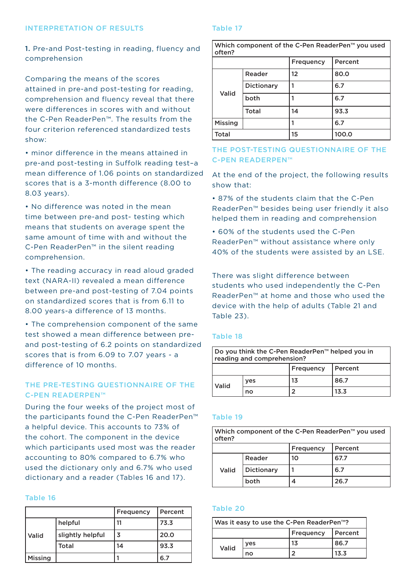#### INTERPRETATION OF RESULTS

#### Table 17

1. Pre-and Post-testing in reading, fluency and comprehension

Comparing the means of the scores attained in pre-and post-testing for reading, comprehension and fluency reveal that there were differences in scores with and without the C-Pen ReaderPen™. The results from the four criterion referenced standardized tests show:

• minor difference in the means attained in pre-and post-testing in Suffolk reading test–a mean difference of 1.06 points on standardized scores that is a 3-month difference (8.00 to 8.03 years).

• No difference was noted in the mean time between pre-and post- testing which means that students on average spent the same amount of time with and without the C-Pen ReaderPen™ in the silent reading comprehension.

• The reading accuracy in read aloud graded text (NARA-II) revealed a mean difference between pre-and post-testing of 7.04 points on standardized scores that is from 6.11 to 8.00 years-a difference of 13 months.

• The comprehension component of the same test showed a mean difference between preand post-testing of 6.2 points on standardized scores that is from 6.09 to 7.07 years - a difference of 10 months.

# THE PRE-TESTING QUESTIONNAIRE OF THE C-PEN READERPEN™

During the four weeks of the project most of the participants found the C-Pen ReaderPen™ a helpful device. This accounts to 73% of the cohort. The component in the device which participants used most was the reader accounting to 80% compared to 6.7% who used the dictionary only and 6.7% who used dictionary and a reader (Tables 16 and 17).

#### Table 16

|                |                  | Frequency | Percent |
|----------------|------------------|-----------|---------|
|                | helpful          | 11        | 73.3    |
| Valid          | slightly helpful | 3         | 20.0    |
|                | Total            | 14        | 93.3    |
| <b>Missing</b> |                  |           | 6.7     |

| Which component of the C-Pen ReaderPen <sup>™</sup> you used<br>often? |                   |                  |         |  |
|------------------------------------------------------------------------|-------------------|------------------|---------|--|
|                                                                        |                   | <b>Frequency</b> | Percent |  |
|                                                                        | Reader            | 12               | 80.0    |  |
| Valid                                                                  | <b>Dictionary</b> |                  | 6.7     |  |
|                                                                        | both              |                  | 6.7     |  |
|                                                                        | Total             | 14               | 93.3    |  |
| Missing                                                                |                   |                  | 6.7     |  |
| Total                                                                  |                   | 15               | 100.0   |  |

## THE POST-TESTING QUESTIONNAIRE OF THE C-PEN READERPEN™

At the end of the project, the following results show that:

• 87% of the students claim that the C-Pen ReaderPen™ besides being user friendly it also helped them in reading and comprehension

• 60% of the students used the C-Pen ReaderPen™ without assistance where only 40% of the students were assisted by an LSE.

There was slight difference between students who used independently the C-Pen ReaderPen™ at home and those who used the device with the help of adults (Table 21 and Table 23).

#### Table 18

| Do you think the C-Pen ReaderPen <sup>™</sup> helped you in<br>reading and comprehension? |     |    |      |
|-------------------------------------------------------------------------------------------|-----|----|------|
| Frequency<br>  Percent                                                                    |     |    |      |
| Valid                                                                                     | yes | 13 | 86.7 |
|                                                                                           | no  |    | 13.3 |

### Table 19

| Which component of the C-Pen ReaderPen <sup>™</sup> you used<br>often? |                   |    |      |  |
|------------------------------------------------------------------------|-------------------|----|------|--|
| Frequency<br>Percent                                                   |                   |    |      |  |
| Valid                                                                  | Reader            | 10 | 67.7 |  |
|                                                                        | <b>Dictionary</b> |    | 6.7  |  |
|                                                                        | both              | 4  | 26.7 |  |

#### Table 20

| Was it easy to use the C-Pen ReaderPen <sup>™</sup> ? |            |    |      |
|-------------------------------------------------------|------------|----|------|
| Frequency<br>l Percent                                |            |    |      |
| Valid                                                 | <b>ves</b> | 13 | 86.7 |
|                                                       | no         |    | 13.3 |